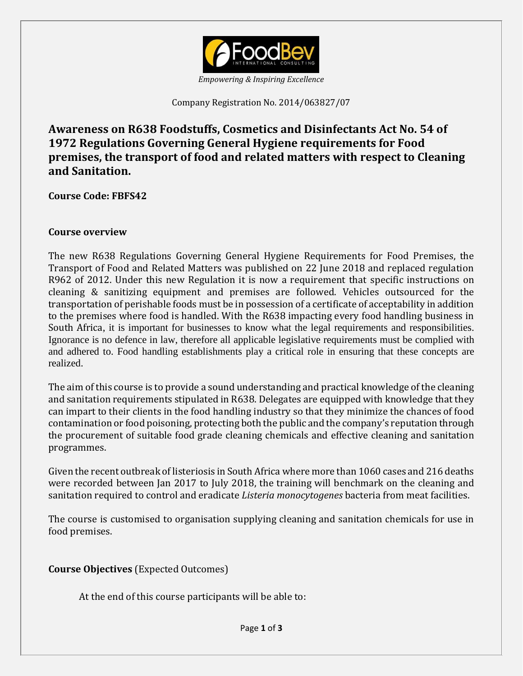

*Empowering & Inspiring Excellence*

Company Registration No. 2014/063827/07

**Awareness on R638 Foodstuffs, Cosmetics and Disinfectants Act No. 54 of 1972 Regulations Governing General Hygiene requirements for Food premises, the transport of food and related matters with respect to Cleaning and Sanitation.**

**Course Code: FBFS42**

#### **Course overview**

The new R638 Regulations Governing General Hygiene Requirements for Food Premises, the Transport of Food and Related Matters was published on 22 June 2018 and replaced regulation R962 of 2012. Under this new Regulation it is now a requirement that specific instructions on cleaning & sanitizing equipment and premises are followed. Vehicles outsourced for the transportation of perishable foods must be in possession of a certificate of acceptability in addition to the premises where food is handled. With the R638 impacting every food handling business in South Africa, it is important for businesses to know what the legal requirements and responsibilities. Ignorance is no defence in law, therefore all applicable legislative requirements must be complied with and adhered to. Food handling establishments play a critical role in ensuring that these concepts are realized.

The aim of this course is to provide a sound understanding and practical knowledge of the cleaning and sanitation requirements stipulated in R638. Delegates are equipped with knowledge that they can impart to their clients in the food handling industry so that they minimize the chances of food contamination or food poisoning, protecting both the public and the company's reputation through the procurement of suitable food grade cleaning chemicals and effective cleaning and sanitation programmes.

Given the recent outbreak of listeriosis in South Africa where more than 1060 cases and 216 deaths were recorded between Jan 2017 to July 2018, the training will benchmark on the cleaning and sanitation required to control and eradicate *Listeria monocytogenes* bacteria from meat facilities.

The course is customised to organisation supplying cleaning and sanitation chemicals for use in food premises.

**Course Objectives** (Expected Outcomes)

At the end of this course participants will be able to: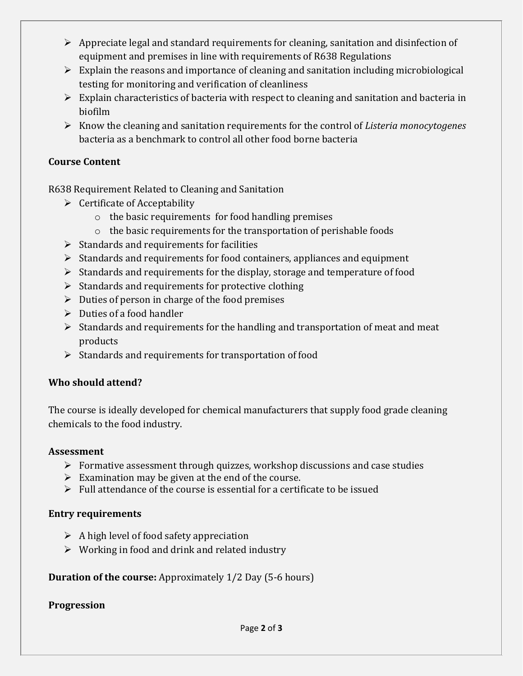- $\triangleright$  Appreciate legal and standard requirements for cleaning, sanitation and disinfection of equipment and premises in line with requirements of R638 Regulations
- $\triangleright$  Explain the reasons and importance of cleaning and sanitation including microbiological testing for monitoring and verification of cleanliness
- $\triangleright$  Explain characteristics of bacteria with respect to cleaning and sanitation and bacteria in biofilm
- Know the cleaning and sanitation requirements for the control of *Listeria monocytogenes* bacteria as a benchmark to control all other food borne bacteria

### **Course Content**

R638 Requirement Related to Cleaning and Sanitation

- $\triangleright$  Certificate of Acceptability
	- o the basic requirements for food handling premises
	- o the basic requirements for the transportation of perishable foods
- $\triangleright$  Standards and requirements for facilities
- $\triangleright$  Standards and requirements for food containers, appliances and equipment
- $\triangleright$  Standards and requirements for the display, storage and temperature of food
- $\triangleright$  Standards and requirements for protective clothing
- $\triangleright$  Duties of person in charge of the food premises
- $\triangleright$  Duties of a food handler
- $\triangleright$  Standards and requirements for the handling and transportation of meat and meat products
- $\triangleright$  Standards and requirements for transportation of food

#### **Who should attend?**

The course is ideally developed for chemical manufacturers that supply food grade cleaning chemicals to the food industry.

#### **Assessment**

- $\triangleright$  Formative assessment through quizzes, workshop discussions and case studies
- $\triangleright$  Examination may be given at the end of the course.
- $\triangleright$  Full attendance of the course is essential for a certificate to be issued

#### **Entry requirements**

- $\triangleright$  A high level of food safety appreciation
- $\triangleright$  Working in food and drink and related industry

#### **Duration of the course:** Approximately 1/2 Day (5-6 hours)

#### **Progression**